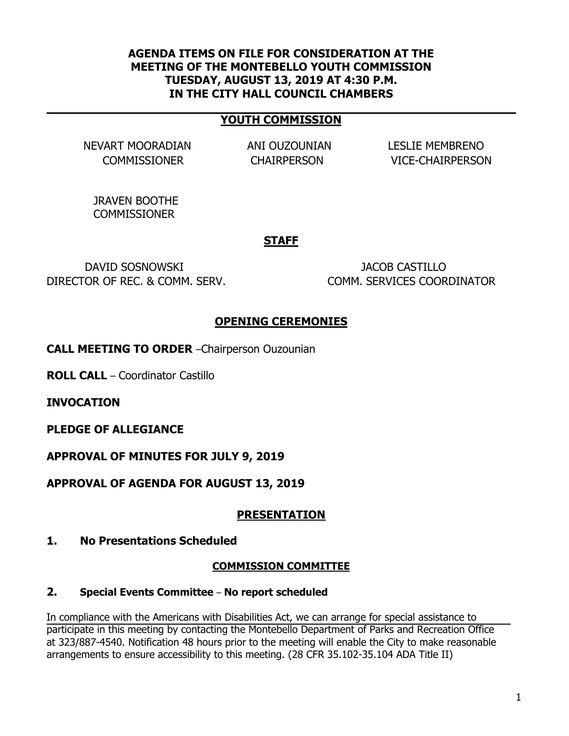#### **AGENDA ITEMS ON FILE FOR CONSIDERATION AT THE MEETING OF THE MONTEBELLO YOUTH COMMISSION TUESDAY, AUGUST 13, 2019 AT 4:30 P.M. IN THE CITY HALL COUNCIL CHAMBERS**

#### **YOUTH COMMISSION**

NEVART MOORADIAN ANI OUZOUNIAN LESLIE MEMBRENO

COMMISSIONER CHAIRPERSON VICE-CHAIRPERSON

JRAVEN BOOTHE **COMMISSIONER** 

#### **STAFF**

DAVID SOSNOWSKI JACOB CASTILLO DIRECTOR OF REC. & COMM. SERV. COMM. SERVICES COORDINATOR

#### **OPENING CEREMONIES**

**CALL MEETING TO ORDER** –Chairperson Ouzounian

**ROLL CALL** – Coordinator Castillo

**INVOCATION**

**PLEDGE OF ALLEGIANCE**

**APPROVAL OF MINUTES FOR JULY 9, 2019**

**APPROVAL OF AGENDA FOR AUGUST 13, 2019**

#### **PRESENTATION**

**1. No Presentations Scheduled**

#### **COMMISSION COMMITTEE**

**2. Special Events Committee** – **No report scheduled**

In compliance with the Americans with Disabilities Act, we can arrange for special assistance to participate in this meeting by contacting the Montebello Department of Parks and Recreation Office at 323/887-4540. Notification 48 hours prior to the meeting will enable the City to make reasonable arrangements to ensure accessibility to this meeting. (28 CFR 35.102-35.104 ADA Title II)